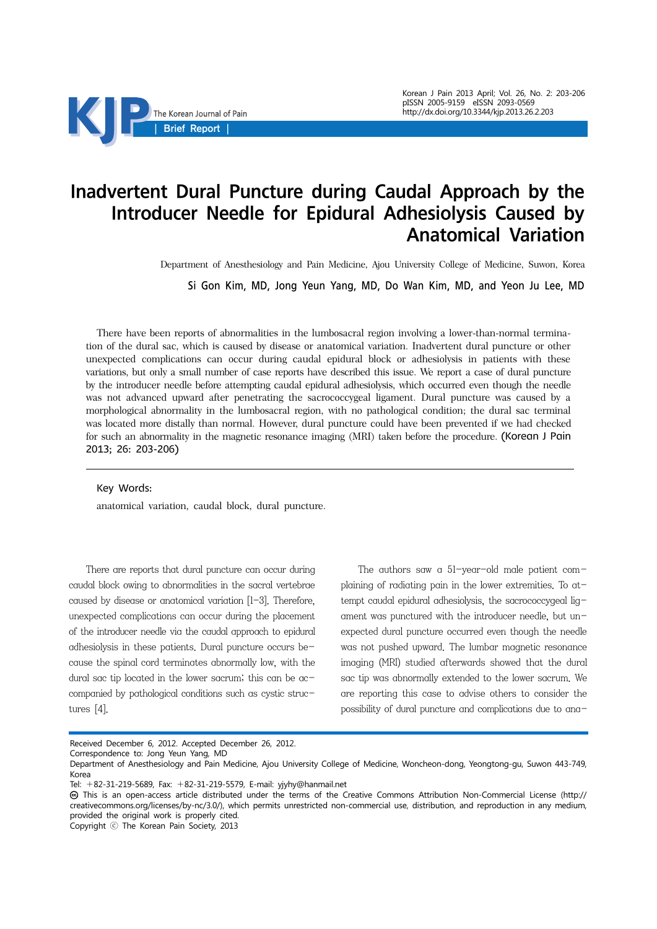

# Inadvertent Dural Puncture during Caudal Approach by the Introducer Needle for Epidural Adhesiolysis Caused by Anatomical Variation

Department of Anesthesiology and Pain Medicine, Ajou University College of Medicine, Suwon, Korea

Si Gon Kim, MD, Jong Yeun Yang, MD, Do Wan Kim, MD, and Yeon Ju Lee, MD

There have been reports of abnormalities in the lumbosacral region involving a lower-than-normal termination of the dural sac, which is caused by disease or anatomical variation. Inadvertent dural puncture or other unexpected complications can occur during caudal epidural block or adhesiolysis in patients with these variations, but only a small number of case reports have described this issue. We report a case of dural puncture by the introducer needle before attempting caudal epidural adhesiolysis, which occurred even though the needle was not advanced upward after penetrating the sacrococcygeal ligament. Dural puncture was caused by a morphological abnormality in the lumbosacral region, with no pathological condition; the dural sac terminal was located more distally than normal. However, dural puncture could have been prevented if we had checked for such an abnormality in the magnetic resonance imaging (MRI) taken before the procedure. (Korean J Pain 2013; 26: 203-206)

#### Key Words:

anatomical variation, caudal block, dural puncture.

There are reports that dural puncture can occur during caudal block owing to abnormalities in the sacral vertebrae caused by disease or anatomical variation [1-3]. Therefore, unexpected complications can occur during the placement of the introducer needle via the caudal approach to epidural adhesiolysis in these patients. Dural puncture occurs because the spinal cord terminates abnormally low, with the dural sac tip located in the lower sacrum; this can be accompanied by pathological conditions such as cystic structures [4].

The authors saw a 51-year-old male patient complaining of radiating pain in the lower extremities. To attempt caudal epidural adhesiolysis, the sacrococcygeal ligament was punctured with the introducer needle, but unexpected dural puncture occurred even though the needle was not pushed upward. The lumbar magnetic resonance imaging (MRI) studied afterwards showed that the dural sac tip was abnormally extended to the lower sacrum. We are reporting this case to advise others to consider the possibility of dural puncture and complications due to ana-

Received December 6, 2012. Accepted December 26, 2012.

Correspondence to: Jong Yeun Yang, MD

Department of Anesthesiology and Pain Medicine, Ajou University College of Medicine, Woncheon-dong, Yeongtong-gu, Suwon 443-749, Korea

Tel: +82-31-219-5689, Fax: +82-31-219-5579, E-mail: yjyhy@hanmail.net

This is an open-access article distributed under the terms of the Creative Commons Attribution Non-Commercial License (http:// creativecommons.org/licenses/by-nc/3.0/), which permits unrestricted non-commercial use, distribution, and reproduction in any medium, provided the original work is properly cited.

Copyright ⓒ The Korean Pain Society, 2013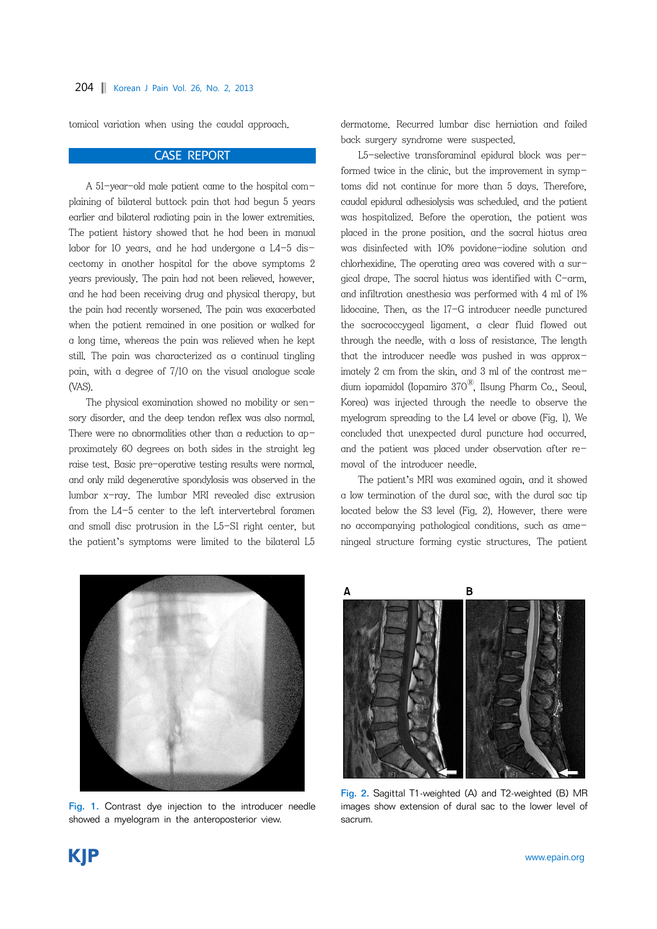tomical variation when using the caudal approach.

#### CASE REPORT

A 51-year-old male patient came to the hospital complaining of bilateral buttock pain that had begun 5 years earlier and bilateral radiating pain in the lower extremities. The patient history showed that he had been in manual labor for 10 years, and he had undergone a L4-5 discectomy in another hospital for the above symptoms 2 years previously. The pain had not been relieved, however, and he had been receiving drug and physical therapy, but the pain had recently worsened. The pain was exacerbated when the patient remained in one position or walked for a long time, whereas the pain was relieved when he kept still. The pain was characterized as a continual tingling pain, with a degree of 7/10 on the visual analogue scale (VAS).

The physical examination showed no mobility or sensory disorder, and the deep tendon reflex was also normal. There were no abnormalities other than a reduction to approximately 60 degrees on both sides in the straight leg raise test. Basic pre-operative testing results were normal, and only mild degenerative spondylosis was observed in the lumbar x-ray. The lumbar MRI revealed disc extrusion from the L4-5 center to the left intervertebral foramen and small disc protrusion in the L5-S1 right center, but the patient's symptoms were limited to the bilateral L5

dermatome. Recurred lumbar disc herniation and failed back surgery syndrome were suspected.

L5-selective transforaminal epidural block was performed twice in the clinic, but the improvement in symptoms did not continue for more than 5 days. Therefore, caudal epidural adhesiolysis was scheduled, and the patient was hospitalized. Before the operation, the patient was placed in the prone position, and the sacral hiatus area was disinfected with 10% povidone-iodine solution and chlorhexidine. The operating area was covered with a surgical drape. The sacral hiatus was identified with C-arm, and infiltration anesthesia was performed with 4 ml of 1% lidocaine. Then, as the 17-G introducer needle punctured the sacrococcygeal ligament, a clear fluid flowed out through the needle, with a loss of resistance. The length that the introducer needle was pushed in was approximately 2 cm from the skin, and 3 ml of the contrast medium iopamidol (Iopamiro  $370^{\circledR}$ , Ilsung Pharm Co., Seoul, Korea) was injected through the needle to observe the myelogram spreading to the L4 level or above (Fig. 1). We concluded that unexpected dural puncture had occurred, and the patient was placed under observation after removal of the introducer needle.

The patient's MRI was examined again, and it showed a low termination of the dural sac, with the dural sac tip located below the S3 level (Fig. 2). However, there were no accompanying pathological conditions, such as ameningeal structure forming cystic structures. The patient



Fig. 1. Contrast dye injection to the introducer needle showed a myelogram in the anteroposterior view.



Fig. 2. Sagittal T1-weighted (A) and T2-weighted (B) MR images show extension of dural sac to the lower level of sacrum.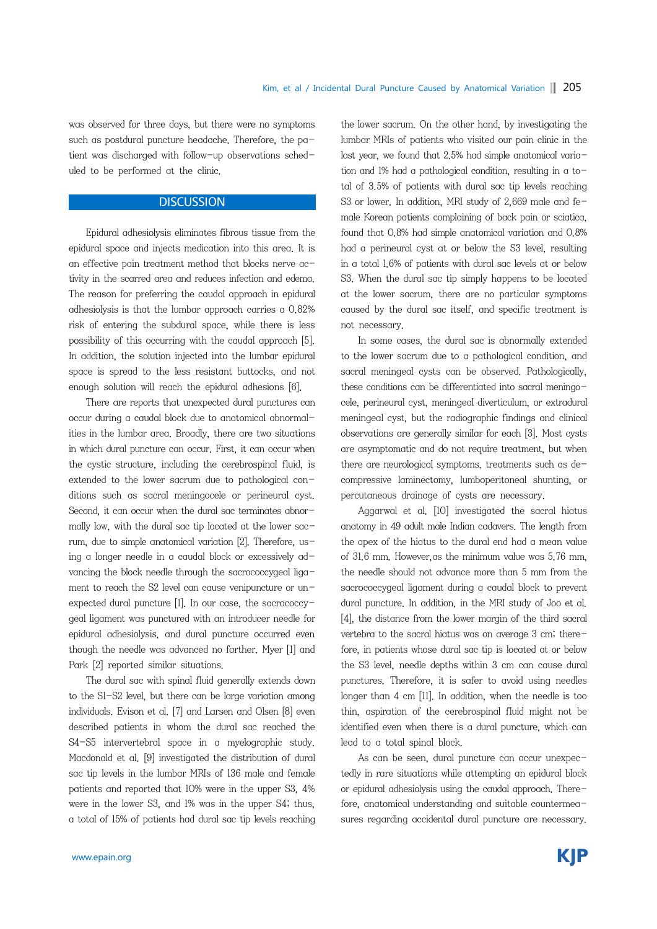was observed for three days, but there were no symptoms such as postdural puncture headache. Therefore, the patient was discharged with follow-up observations scheduled to be performed at the clinic.

## **DISCUSSION**

Epidural adhesiolysis eliminates fibrous tissue from the epidural space and injects medication into this area. It is an effective pain treatment method that blocks nerve activity in the scarred area and reduces infection and edema. The reason for preferring the caudal approach in epidural adhesiolysis is that the lumbar approach carries a 0.82% risk of entering the subdural space, while there is less possibility of this occurring with the caudal approach [5]. In addition, the solution injected into the lumbar epidural space is spread to the less resistant buttocks, and not enough solution will reach the epidural adhesions [6].

There are reports that unexpected dural punctures can occur during a caudal block due to anatomical abnormalities in the lumbar area. Broadly, there are two situations in which dural puncture can occur. First, it can occur when the cystic structure, including the cerebrospinal fluid, is extended to the lower sacrum due to pathological conditions such as sacral meningocele or perineural cyst. Second, it can occur when the dural sac terminates abnormally low, with the dural sac tip located at the lower sacrum, due to simple anatomical variation [2]. Therefore, using a longer needle in a caudal block or excessively advancing the block needle through the sacrococcygeal ligament to reach the S2 level can cause venipuncture or unexpected dural puncture [1]. In our case, the sacrococcygeal ligament was punctured with an introducer needle for epidural adhesiolysis, and dural puncture occurred even though the needle was advanced no farther. Myer [1] and Park [2] reported similar situations.

The dural sac with spinal fluid generally extends down to the S1-S2 level, but there can be large variation among individuals. Evison et al. [7] and Larsen and Olsen [8] even described patients in whom the dural sac reached the S4-S5 intervertebral space in a myelographic study. Macdonald et al. [9] investigated the distribution of dural sac tip levels in the lumbar MRIs of 136 male and female patients and reported that 10% were in the upper S3, 4% were in the lower S3, and 1% was in the upper S4; thus, a total of 15% of patients had dural sac tip levels reaching

the lower sacrum. On the other hand, by investigating the lumbar MRIs of patients who visited our pain clinic in the last year, we found that 2.5% had simple anatomical variation and 1% had a pathological condition, resulting in a total of 3.5% of patients with dural sac tip levels reaching S3 or lower. In addition, MRI study of 2,669 male and female Korean patients complaining of back pain or sciatica, found that 0.8% had simple anatomical variation and 0.8% had a perineural cyst at or below the S3 level, resulting in a total 1.6% of patients with dural sac levels at or below S3. When the dural sac tip simply happens to be located at the lower sacrum, there are no particular symptoms caused by the dural sac itself, and specific treatment is not necessary.

In some cases, the dural sac is abnormally extended to the lower sacrum due to a pathological condition, and sacral meningeal cysts can be observed. Pathologically, these conditions can be differentiated into sacral meningocele, perineural cyst, meningeal diverticulum, or extradural meningeal cyst, but the radiographic findings and clinical observations are generally similar for each [3]. Most cysts are asymptomatic and do not require treatment, but when there are neurological symptoms, treatments such as decompressive laminectomy, lumboperitoneal shunting, or percutaneous drainage of cysts are necessary.

Aggarwal et al. [10] investigated the sacral hiatus anatomy in 49 adult male Indian cadavers. The length from the apex of the hiatus to the dural end had a mean value of 31.6 mm. However,as the minimum value was 5.76 mm, the needle should not advance more than 5 mm from the sacrococcygeal ligament during a caudal block to prevent dural puncture. In addition, in the MRI study of Joo et al. [4], the distance from the lower margin of the third sacral vertebra to the sacral hiatus was on average 3 cm; therefore, in patients whose dural sac tip is located at or below the S3 level, needle depths within 3 cm can cause dural punctures. Therefore, it is safer to avoid using needles longer than 4 cm [11]. In addition, when the needle is too thin, aspiration of the cerebrospinal fluid might not be identified even when there is a dural puncture, which can lead to a total spinal block.

As can be seen, dural puncture can occur unexpectedly in rare situations while attempting an epidural block or epidural adhesiolysis using the caudal approach. Therefore, anatomical understanding and suitable countermeasures regarding accidental dural puncture are necessary.